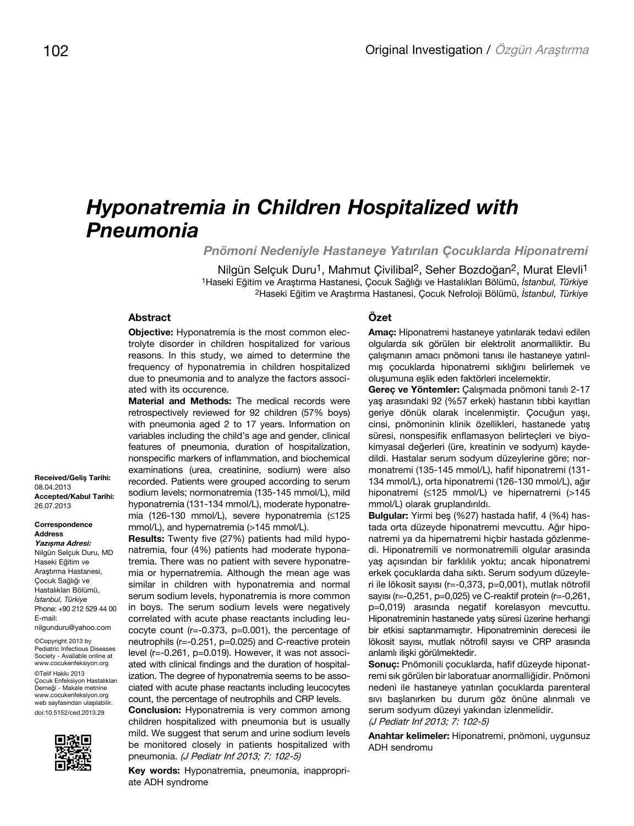# *Hyponatremia in Children Hospitalized with Pneumonia*

*Pnömoni Nedeniyle Hastaneye Yatırılan Çocuklarda Hiponatremi*

Nilgün Selçuk Duru<sup>1</sup>, Mahmut Çivilibal<sup>2</sup>, Seher Bozdoğan<sup>2</sup>, Murat Elevli<sup>1</sup> 1Haseki Eğitim ve Araştırma Hastanesi, Çocuk Sağlığı ve Hastalıkları Bölümü, *İstanbul, Türkiye* 2Haseki Eğitim ve Araştırma Hastanesi, Çocuk Nefroloji Bölümü, *İstanbul, Türkiye*

# **Abstract**

**Objective:** Hyponatremia is the most common electrolyte disorder in children hospitalized for various reasons. In this study, we aimed to determine the frequency of hyponatremia in children hospitalized due to pneumonia and to analyze the factors associated with its occurence.

**Material and Methods:** The medical records were retrospectively reviewed for 92 children (57% boys) with pneumonia aged 2 to 17 years. Information on variables including the child's age and gender, clinical features of pneumonia, duration of hospitalization, nonspecific markers of inflammation, and biochemical examinations (urea, creatinine, sodium) were also recorded. Patients were grouped according to serum sodium levels; normonatremia (135-145 mmol/L), mild hyponatremia (131-134 mmol/L), moderate hyponatremia (126-130 mmol/L), severe hyponatremia (≤125 mmol/L), and hypernatremia (>145 mmol/L).

**Results:** Twenty five (27%) patients had mild hyponatremia, four (4%) patients had moderate hyponatremia. There was no patient with severe hyponatremia or hypernatremia. Although the mean age was similar in children with hyponatremia and normal serum sodium levels, hyponatremia is more common in boys. The serum sodium levels were negatively correlated with acute phase reactants including leucocyte count (r=-0.373, p=0.001), the percentage of neutrophils (r=-0.251, p=0.025) and C-reactive protein level (r=-0.261, p=0.019). However, it was not associated with clinical findings and the duration of hospitalization. The degree of hyponatremia seems to be associated with acute phase reactants including leucocytes count, the percentage of neutrophils and CRP levels.

**Conclusion:** Hyponatremia is very common among children hospitalized with pneumonia but is usually mild. We suggest that serum and urine sodium levels be monitored closely in patients hospitalized with pneumonia. (J Pediatr Inf 2013; 7: 102-5)

**Key words:** Hyponatremia, pneumonia, inappropriate ADH syndrome

#### **Özet**

**Amaç:** Hiponatremi hastaneye yatırılarak tedavi edilen olgularda sık görülen bir elektrolit anormalliktir. Bu çalışmanın amacı pnömoni tanısı ile hastaneye yatırılmış çocuklarda hiponatremi sıklığını belirlemek ve oluşumuna eşlik eden faktörleri incelemektir.

**Gereç ve Yöntemler:** Çalışmada pnömoni tanılı 2-17 yaş arasındaki 92 (%57 erkek) hastanın tıbbi kayıtları geriye dönük olarak incelenmiştir. Çocuğun yaşı, cinsi, pnömoninin klinik özellikleri, hastanede yatış süresi, nonspesifik enflamasyon belirteçleri ve biyokimyasal değerleri (üre, kreatinin ve sodyum) kaydedildi. Hastalar serum sodyum düzeylerine göre; normonatremi (135-145 mmol/L), hafif hiponatremi (131- 134 mmol/L), orta hiponatremi (126-130 mmol/L), ağır hiponatremi (≤125 mmol/L) ve hipernatremi (>145 mmol/L) olarak gruplandırıldı.

**Bulgular:** Yirmi beş (%27) hastada hafif, 4 (%4) hastada orta düzeyde hiponatremi mevcuttu. Ağır hiponatremi ya da hipernatremi hiçbir hastada gözlenmedi. Hiponatremili ve normonatremili olgular arasında yaş açısından bir farklılık yoktu; ancak hiponatremi erkek çocuklarda daha sıktı. Serum sodyum düzeyleri ile lökosit sayısı (r=-0,373, p=0,001), mutlak nötrofil sayısı (r=-0,251, p=0,025) ve C-reaktif protein (r=-0,261, p=0,019) arasında negatif korelasyon mevcuttu. Hiponatreminin hastanede yatış süresi üzerine herhangi bir etkisi saptanmamıştır. Hiponatreminin derecesi ile lökosit sayısı, mutlak nötrofil sayısı ve CRP arasında anlamlı ilişki görülmektedir.

**Sonuç:** Pnömonili çocuklarda, hafif düzeyde hiponatremi sık görülen bir laboratuar anormalliğidir. Pnömoni nedeni ile hastaneye yatırılan çocuklarda parenteral sıvı başlanırken bu durum göz önüne alınmalı ve serum sodyum düzeyi yakından izlenmelidir. (J Pediatr Inf 2013; 7: 102-5)

**Anahtar kelimeler:** Hiponatremi, pnömoni, uygunsuz ADH sendromu

**Received/Geliş Tarihi:**  08.04.2013 **Accepted/Kabul Tarihi:**  26.07.2013

#### **Correspondence** Address **Yazışma Adresi:**

Nilgün Selçuk Duru, MD Haseki Eğitim ve Araştırma Hastanesi, Çocuk Sağlığı ve Hastalıkları Bölümü, *İstanbul, Türkiye* Phone: +90 212 529 44 00 E-mail: nilgunduru@yahoo.com

©Copyright 2013 by Pediatric Infectious Diseases Society - Available online at www.cocukenfeksiyon.org ©Telif Hakkı 2013 Çocuk Enfeksiyon Hastalıkları Derneği - Makale metnine www.cocukenfeksiyon.org web sayfasından ulaşılabilir. doi:10.5152/ced.2013.29

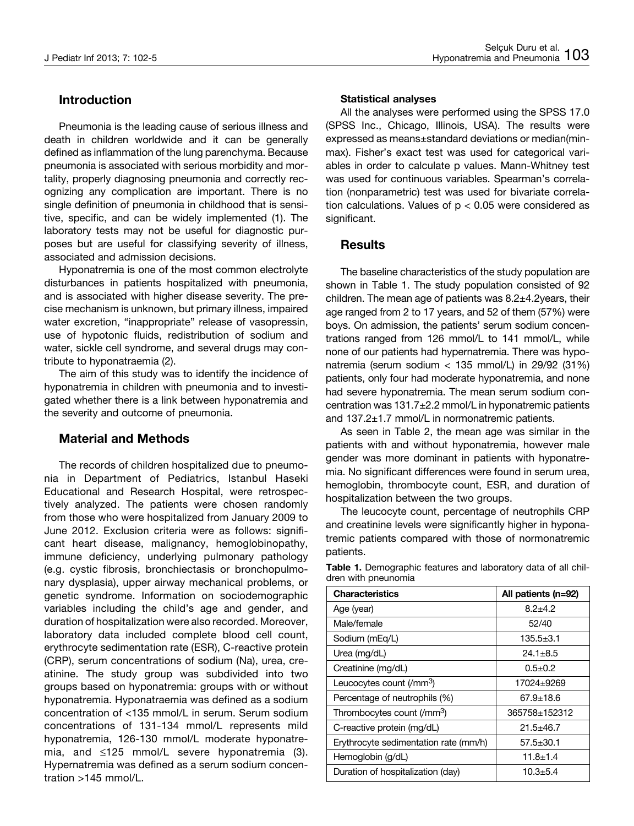# **Introduction**

Pneumonia is the leading cause of serious illness and death in children worldwide and it can be generally defined as inflammation of the lung parenchyma. Because pneumonia is associated with serious morbidity and mortality, properly diagnosing pneumonia and correctly recognizing any complication are important. There is no single definition of pneumonia in childhood that is sensitive, specific, and can be widely implemented (1). The laboratory tests may not be useful for diagnostic purposes but are useful for classifying severity of illness, associated and admission decisions.

Hyponatremia is one of the most common electrolyte disturbances in patients hospitalized with pneumonia, and is associated with higher disease severity. The precise mechanism is unknown, but primary illness, impaired water excretion, "inappropriate" release of vasopressin, use of hypotonic fluids, redistribution of sodium and water, sickle cell syndrome, and several drugs may contribute to hyponatraemia (2).

The aim of this study was to identify the incidence of hyponatremia in children with pneumonia and to investigated whether there is a link between hyponatremia and the severity and outcome of pneumonia.

# **Material and Methods**

The records of children hospitalized due to pneumonia in Department of Pediatrics, Istanbul Haseki Educational and Research Hospital, were retrospectively analyzed. The patients were chosen randomly from those who were hospitalized from January 2009 to June 2012. Exclusion criteria were as follows: significant heart disease, malignancy, hemoglobinopathy, immune deficiency, underlying pulmonary pathology (e.g. cystic fibrosis, bronchiectasis or bronchopulmonary dysplasia), upper airway mechanical problems, or genetic syndrome. Information on sociodemographic variables including the child's age and gender, and duration of hospitalization were also recorded. Moreover, laboratory data included complete blood cell count, erythrocyte sedimentation rate (ESR), C-reactive protein (CRP), serum concentrations of sodium (Na), urea, creatinine. The study group was subdivided into two groups based on hyponatremia: groups with or without hyponatremia. Hyponatraemia was defined as a sodium concentration of <135 mmol/L in serum. Serum sodium concentrations of 131-134 mmol/L represents mild hyponatremia, 126-130 mmol/L moderate hyponatremia, and ≤125 mmol/L severe hyponatremia (3). Hypernatremia was defined as a serum sodium concentration >145 mmol/L.

## **Statistical analyses**

All the analyses were performed using the SPSS 17.0 (SPSS Inc., Chicago, Illinois, USA). The results were expressed as means±standard deviations or median(minmax). Fisher's exact test was used for categorical variables in order to calculate p values. Mann-Whitney test was used for continuous variables. Spearman's correlation (nonparametric) test was used for bivariate correlation calculations. Values of  $p < 0.05$  were considered as significant.

# **Results**

The baseline characteristics of the study population are shown in Table 1. The study population consisted of 92 children. The mean age of patients was 8.2±4.2years, their age ranged from 2 to 17 years, and 52 of them (57%) were boys. On admission, the patients' serum sodium concentrations ranged from 126 mmol/L to 141 mmol/L, while none of our patients had hypernatremia. There was hyponatremia (serum sodium < 135 mmol/L) in 29/92 (31%) patients, only four had moderate hyponatremia, and none had severe hyponatremia. The mean serum sodium concentration was 131.7±2.2 mmol/L in hyponatremic patients and 137.2±1.7 mmol/L in normonatremic patients.

As seen in Table 2, the mean age was similar in the patients with and without hyponatremia, however male gender was more dominant in patients with hyponatremia. No significant differences were found in serum urea, hemoglobin, thrombocyte count, ESR, and duration of hospitalization between the two groups.

The leucocyte count, percentage of neutrophils CRP and creatinine levels were significantly higher in hyponatremic patients compared with those of normonatremic patients.

| <b>Characteristics</b>                 | All patients (n=92) |  |
|----------------------------------------|---------------------|--|
| Age (year)                             | $8.2 + 4.2$         |  |
| Male/female                            | 52/40               |  |
| Sodium (mEq/L)                         | $135.5 + 3.1$       |  |
| Urea (mg/dL)                           | $24.1 + 8.5$        |  |
| Creatinine (mg/dL)                     | $0.5 \pm 0.2$       |  |
| Leucocytes count (/mm <sup>3</sup> )   | 17024+9269          |  |
| Percentage of neutrophils (%)          | 67.9+18.6           |  |
| Thrombocytes count (/mm <sup>3</sup> ) | 365758±152312       |  |
| C-reactive protein (mg/dL)             | $21.5 + 46.7$       |  |
| Erythrocyte sedimentation rate (mm/h)  | $57.5 + 30.1$       |  |
| Hemoglobin (g/dL)                      | $11.8 + 1.4$        |  |
| Duration of hospitalization (day)      | $10.3 \pm 5.4$      |  |

**Table 1.** Demographic features and laboratory data of all children with pneunomia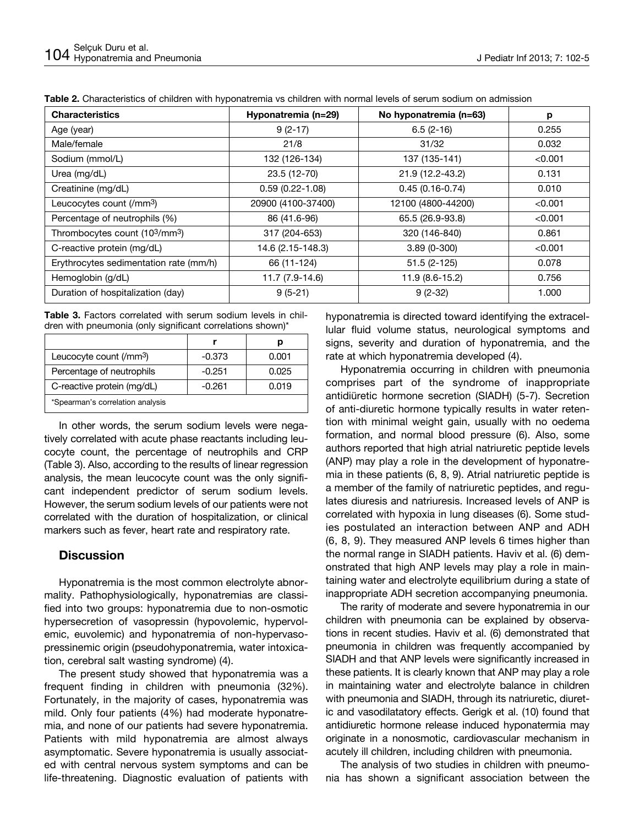| <b>Characteristics</b>                 | Hyponatremia (n=29) | No hyponatremia (n=63) | p       |
|----------------------------------------|---------------------|------------------------|---------|
| Age (year)                             | $9(2-17)$           | $6.5(2-16)$            | 0.255   |
| Male/female                            | 21/8                | 31/32                  | 0.032   |
| Sodium (mmol/L)                        | 132 (126-134)       | 137 (135-141)          | < 0.001 |
| Urea (mg/dL)                           | 23.5 (12-70)        | 21.9 (12.2-43.2)       | 0.131   |
| Creatinine (mg/dL)                     | $0.59(0.22 - 1.08)$ | $0.45(0.16-0.74)$      | 0.010   |
| Leucocytes count (/mm <sup>3</sup> )   | 20900 (4100-37400)  | 12100 (4800-44200)     | < 0.001 |
| Percentage of neutrophils (%)          | 86 (41.6-96)        | 65.5 (26.9-93.8)       | < 0.001 |
| Thrombocytes count (103/mm3)           | 317 (204-653)       | 320 (146-840)          | 0.861   |
| C-reactive protein (mg/dL)             | 14.6 (2.15-148.3)   | $3.89(0-300)$          | < 0.001 |
| Erythrocytes sedimentation rate (mm/h) | 66 (11-124)         | $51.5(2-125)$          | 0.078   |
| Hemoglobin (g/dL)                      | 11.7 (7.9-14.6)     | 11.9 (8.6-15.2)        | 0.756   |
| Duration of hospitalization (day)      | $9(5-21)$           | $9(2-32)$              | 1.000   |

**Table 2.** Characteristics of children with hyponatremia vs children with normal levels of serum sodium on admission

**Table 3.** Factors correlated with serum sodium levels in children with pneumonia (only significant correlations shown)\*

| Leucocyte count (/mm <sup>3</sup> ) | $-0.373$ | 0.001 |
|-------------------------------------|----------|-------|
| Percentage of neutrophils           | $-0.251$ | 0.025 |
| C-reactive protein (mg/dL)          | -0.261   | 0.019 |
| *Spearman's correlation analysis    |          |       |

In other words, the serum sodium levels were negatively correlated with acute phase reactants including leucocyte count, the percentage of neutrophils and CRP (Table 3). Also, according to the results of linear regression analysis, the mean leucocyte count was the only significant independent predictor of serum sodium levels. However, the serum sodium levels of our patients were not correlated with the duration of hospitalization, or clinical markers such as fever, heart rate and respiratory rate.

# **Discussion**

Hyponatremia is the most common electrolyte abnormality. Pathophysiologically, hyponatremias are classified into two groups: hyponatremia due to non-osmotic hypersecretion of vasopressin (hypovolemic, hypervolemic, euvolemic) and hyponatremia of non-hypervasopressinemic origin (pseudohyponatremia, water intoxication, cerebral salt wasting syndrome) (4).

The present study showed that hyponatremia was a frequent finding in children with pneumonia (32%). Fortunately, in the majority of cases, hyponatremia was mild. Only four patients (4%) had moderate hyponatremia, and none of our patients had severe hyponatremia. Patients with mild hyponatremia are almost always asymptomatic. Severe hyponatremia is usually associated with central nervous system symptoms and can be life-threatening. Diagnostic evaluation of patients with hyponatremia is directed toward identifying the extracellular fluid volume status, neurological symptoms and signs, severity and duration of hyponatremia, and the rate at which hyponatremia developed (4).

Hyponatremia occurring in children with pneumonia comprises part of the syndrome of inappropriate antidiüretic hormone secretion (SIADH) (5-7). Secretion of anti-diuretic hormone typically results in water retention with minimal weight gain, usually with no oedema formation, and normal blood pressure (6). Also, some authors reported that high atrial natriuretic peptide levels (ANP) may play a role in the development of hyponatremia in these patients (6, 8, 9). Atrial natriuretic peptide is a member of the family of natriuretic peptides, and regulates diuresis and natriuresis. Increased levels of ANP is correlated with hypoxia in lung diseases (6). Some studies postulated an interaction between ANP and ADH (6, 8, 9). They measured ANP levels 6 times higher than the normal range in SIADH patients. Haviv et al. (6) demonstrated that high ANP levels may play a role in maintaining water and electrolyte equilibrium during a state of inappropriate ADH secretion accompanying pneumonia.

The rarity of moderate and severe hyponatremia in our children with pneumonia can be explained by observations in recent studies. Haviv et al. (6) demonstrated that pneumonia in children was frequently accompanied by SIADH and that ANP levels were significantly increased in these patients. It is clearly known that ANP may play a role in maintaining water and electrolyte balance in children with pneumonia and SIADH, through its natriuretic, diuretic and vasodilatatory effects. Gerigk et al. (10) found that antidiuretic hormone release induced hyponatermia may originate in a nonosmotic, cardiovascular mechanism in acutely ill children, including children with pneumonia.

The analysis of two studies in children with pneumonia has shown a significant association between the